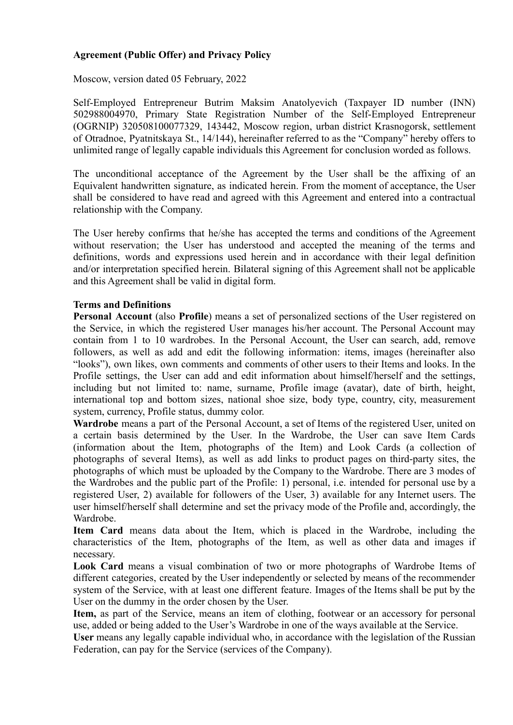# **Agreement (Public Offer) and Privacy Policy**

Moscow, version dated 05 February, 2022

Self-Employed Entrepreneur Butrim Maksim Anatolyevich (Taxpayer ID number (INN) 502988004970, Primary State Registration Number of the Self-Employed Entrepreneur (OGRNIP) 320508100077329, 143442, Moscow region, urban district Krasnogorsk, settlement of Otradnoe, Pyatnitskaya St., 14/144), hereinafter referred to as the "Company" hereby offers to unlimited range of legally capable individuals this Agreement for conclusion worded as follows.

The unconditional acceptance of the Agreement by the User shall be the affixing of an Equivalent handwritten signature, as indicated herein. From the moment of acceptance, the User shall be considered to have read and agreed with this Agreement and entered into a contractual relationship with the Company.

The User hereby confirms that he/she has accepted the terms and conditions of the Agreement without reservation; the User has understood and accepted the meaning of the terms and definitions, words and expressions used herein and in accordance with their legal definition and/or interpretation specified herein. Bilateral signing of this Agreement shall not be applicable and this Agreement shall be valid in digital form.

### **Terms and Definitions**

**Personal Account** (also **Profile**) means a set of personalized sections of the User registered on the Service, in which the registered User manages his/her account. The Personal Account may contain from 1 to 10 wardrobes. In the Personal Account, the User can search, add, remove followers, as well as add and edit the following information: items, images (hereinafter also "looks"), own likes, own comments and comments of other users to their Items and looks. In the Profile settings, the User can add and edit information about himself/herself and the settings, including but not limited to: name, surname, Profile image (avatar), date of birth, height, international top and bottom sizes, national shoe size, body type, country, city, measurement system, currency, Profile status, dummy color.

**Wardrobe** means a part of the Personal Account, a set of Items of the registered User, united on a certain basis determined by the User. In the Wardrobe, the User can save Item Cards (information about the Item, photographs of the Item) and Look Cards (a collection of photographs of several Items), as well as add links to product pages on third-party sites, the photographs of which must be uploaded by the Company to the Wardrobe. There are 3 modes of the Wardrobes and the public part of the Profile: 1) personal, i.e. intended for personal use by a registered User, 2) available for followers of the User, 3) available for any Internet users. The user himself/herself shall determine and set the privacy mode of the Profile and, accordingly, the **Wardrobe** 

**Item Card** means data about the Item, which is placed in the Wardrobe, including the characteristics of the Item, photographs of the Item, as well as other data and images if necessary.

**Look Card** means a visual combination of two or more photographs of Wardrobe Items of different categories, created by the User independently or selected by means of the recommender system of the Service, with at least one different feature. Images of the Items shall be put by the User on the dummy in the order chosen by the User.

**Item,** as part of the Service, means an item of clothing, footwear or an accessory for personal use, added or being added to the User's Wardrobe in one of the ways available at the Service.

**User** means any legally capable individual who, in accordance with the legislation of the Russian Federation, can pay for the Service (services of the Company).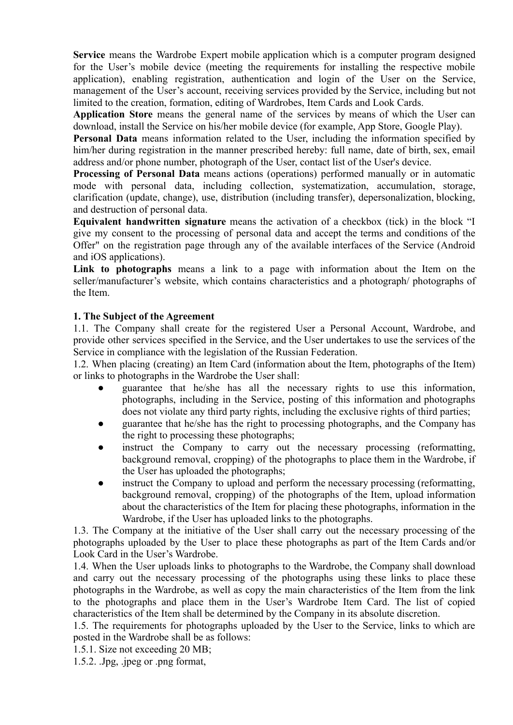**Service** means the Wardrobe Expert mobile application which is a computer program designed for the User's mobile device (meeting the requirements for installing the respective mobile application), enabling registration, authentication and login of the User on the Service, management of the User's account, receiving services provided by the Service, including but not limited to the creation, formation, editing of Wardrobes, Item Cards and Look Cards.

**Application Store** means the general name of the services by means of which the User can download, install the Service on his/her mobile device (for example, App Store, Google Play).

**Personal Data** means information related to the User, including the information specified by him/her during registration in the manner prescribed hereby: full name, date of birth, sex, email address and/or phone number, photograph of the User, contact list of the User's device.

**Processing of Personal Data** means actions (operations) performed manually or in automatic mode with personal data, including collection, systematization, accumulation, storage, clarification (update, change), use, distribution (including transfer), depersonalization, blocking, and destruction of personal data.

**Equivalent handwritten signature** means the activation of a checkbox (tick) in the block "I give my consent to the processing of personal data and accept the terms and conditions of the Offer" on the registration page through any of the available interfaces of the Service (Android and iOS applications).

**Link to photographs** means a link to a page with information about the Item on the seller/manufacturer's website, which contains characteristics and a photograph/ photographs of the Item.

## **1. The Subject of the Agreement**

1.1. The Company shall create for the registered User a Personal Account, Wardrobe, and provide other services specified in the Service, and the User undertakes to use the services of the Service in compliance with the legislation of the Russian Federation.

1.2. When placing (creating) an Item Card (information about the Item, photographs of the Item) or links to photographs in the Wardrobe the User shall:

- guarantee that he/she has all the necessary rights to use this information, photographs, including in the Service, posting of this information and photographs does not violate any third party rights, including the exclusive rights of third parties;
- guarantee that he/she has the right to processing photographs, and the Company has the right to processing these photographs;
- instruct the Company to carry out the necessary processing (reformatting, background removal, cropping) of the photographs to place them in the Wardrobe, if the User has uploaded the photographs;
- instruct the Company to upload and perform the necessary processing (reformatting, background removal, cropping) of the photographs of the Item, upload information about the characteristics of the Item for placing these photographs, information in the Wardrobe, if the User has uploaded links to the photographs.

1.3. The Company at the initiative of the User shall carry out the necessary processing of the photographs uploaded by the User to place these photographs as part of the Item Cards and/or Look Card in the User's Wardrobe.

1.4. When the User uploads links to photographs to the Wardrobe, the Company shall download and carry out the necessary processing of the photographs using these links to place these photographs in the Wardrobe, as well as copy the main characteristics of the Item from the link to the photographs and place them in the User's Wardrobe Item Card. The list of copied characteristics of the Item shall be determined by the Company in its absolute discretion.

1.5. The requirements for photographs uploaded by the User to the Service, links to which are posted in the Wardrobe shall be as follows:

1.5.1. Size not exceeding 20 MB;

1.5.2. .Jpg, .jpeg or .png format,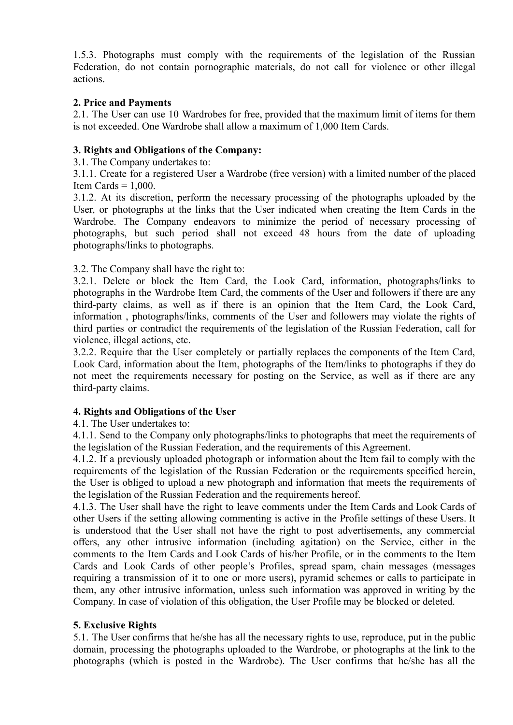1.5.3. Photographs must comply with the requirements of the legislation of the Russian Federation, do not contain pornographic materials, do not call for violence or other illegal actions.

## **2. Price and Payments**

2.1. The User can use 10 Wardrobes for free, provided that the maximum limit of items for them is not exceeded. One Wardrobe shall allow a maximum of 1,000 Item Cards.

## **3. Rights and Obligations of the Company:**

3.1. The Company undertakes to:

3.1.1. Create for a registered User a Wardrobe (free version) with a limited number of the placed Item Cards  $= 1,000$ .

3.1.2. At its discretion, perform the necessary processing of the photographs uploaded by the User, or photographs at the links that the User indicated when creating the Item Cards in the Wardrobe. The Company endeavors to minimize the period of necessary processing of photographs, but such period shall not exceed 48 hours from the date of uploading photographs/links to photographs.

3.2. The Company shall have the right to:

3.2.1. Delete or block the Item Card, the Look Card, information, photographs/links to photographs in the Wardrobe Item Card, the comments of the User and followers if there are any third-party claims, as well as if there is an opinion that the Item Card, the Look Card, information , photographs/links, comments of the User and followers may violate the rights of third parties or contradict the requirements of the legislation of the Russian Federation, call for violence, illegal actions, etc.

3.2.2. Require that the User completely or partially replaces the components of the Item Card, Look Card, information about the Item, photographs of the Item/links to photographs if they do not meet the requirements necessary for posting on the Service, as well as if there are any third-party claims.

# **4. Rights and Obligations of the User**

4.1. The User undertakes to:

4.1.1. Send to the Company only photographs/links to photographs that meet the requirements of the legislation of the Russian Federation, and the requirements of this Agreement.

4.1.2. If a previously uploaded photograph or information about the Item fail to comply with the requirements of the legislation of the Russian Federation or the requirements specified herein, the User is obliged to upload a new photograph and information that meets the requirements of the legislation of the Russian Federation and the requirements hereof.

4.1.3. The User shall have the right to leave comments under the Item Cards and Look Cards of other Users if the setting allowing commenting is active in the Profile settings of these Users. It is understood that the User shall not have the right to post advertisements, any commercial offers, any other intrusive information (including agitation) on the Service, either in the comments to the Item Cards and Look Cards of his/her Profile, or in the comments to the Item Cards and Look Cards of other people's Profiles, spread spam, chain messages (messages requiring a transmission of it to one or more users), pyramid schemes or calls to participate in them, any other intrusive information, unless such information was approved in writing by the Company. In case of violation of this obligation, the User Profile may be blocked or deleted.

### **5. Exclusive Rights**

5.1. The User confirms that he/she has all the necessary rights to use, reproduce, put in the public domain, processing the photographs uploaded to the Wardrobe, or photographs at the link to the photographs (which is posted in the Wardrobe). The User confirms that he/she has all the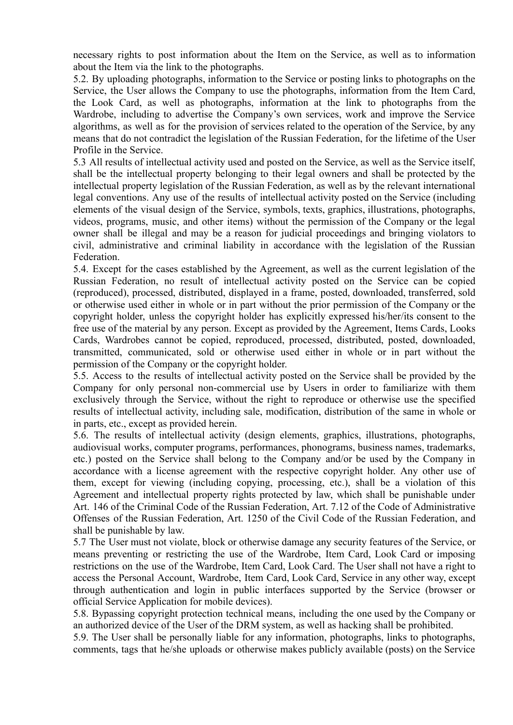necessary rights to post information about the Item on the Service, as well as to information about the Item via the link to the photographs.

5.2. By uploading photographs, information to the Service or posting links to photographs on the Service, the User allows the Company to use the photographs, information from the Item Card, the Look Card, as well as photographs, information at the link to photographs from the Wardrobe, including to advertise the Company's own services, work and improve the Service algorithms, as well as for the provision of services related to the operation of the Service, by any means that do not contradict the legislation of the Russian Federation, for the lifetime of the User Profile in the Service.

5.3 All results of intellectual activity used and posted on the Service, as well as the Service itself, shall be the intellectual property belonging to their legal owners and shall be protected by the intellectual property legislation of the Russian Federation, as well as by the relevant international legal conventions. Any use of the results of intellectual activity posted on the Service (including elements of the visual design of the Service, symbols, texts, graphics, illustrations, photographs, videos, programs, music, and other items) without the permission of the Company or the legal owner shall be illegal and may be a reason for judicial proceedings and bringing violators to civil, administrative and criminal liability in accordance with the legislation of the Russian Federation.

5.4. Except for the cases established by the Agreement, as well as the current legislation of the Russian Federation, no result of intellectual activity posted on the Service can be copied (reproduced), processed, distributed, displayed in a frame, posted, downloaded, transferred, sold or otherwise used either in whole or in part without the prior permission of the Company or the copyright holder, unless the copyright holder has explicitly expressed his/her/its consent to the free use of the material by any person. Except as provided by the Agreement, Items Cards, Looks Cards, Wardrobes cannot be copied, reproduced, processed, distributed, posted, downloaded, transmitted, communicated, sold or otherwise used either in whole or in part without the permission of the Company or the copyright holder.

5.5. Access to the results of intellectual activity posted on the Service shall be provided by the Company for only personal non-commercial use by Users in order to familiarize with them exclusively through the Service, without the right to reproduce or otherwise use the specified results of intellectual activity, including sale, modification, distribution of the same in whole or in parts, etc., except as provided herein.

5.6. The results of intellectual activity (design elements, graphics, illustrations, photographs, audiovisual works, computer programs, performances, phonograms, business names, trademarks, etc.) posted on the Service shall belong to the Company and/or be used by the Company in accordance with a license agreement with the respective copyright holder. Any other use of them, except for viewing (including copying, processing, etc.), shall be a violation of this Agreement and intellectual property rights protected by law, which shall be punishable under Art. 146 of the Criminal Code of the Russian Federation, Art. 7.12 of the Code of Administrative Offenses of the Russian Federation, Art. 1250 of the Civil Code of the Russian Federation, and shall be punishable by law.

5.7 The User must not violate, block or otherwise damage any security features of the Service, or means preventing or restricting the use of the Wardrobe, Item Card, Look Card or imposing restrictions on the use of the Wardrobe, Item Card, Look Card. The User shall not have a right to access the Personal Account, Wardrobe, Item Card, Look Card, Service in any other way, except through authentication and login in public interfaces supported by the Service (browser or official Service Application for mobile devices).

5.8. Bypassing copyright protection technical means, including the one used by the Company or an authorized device of the User of the DRM system, as well as hacking shall be prohibited.

5.9. The User shall be personally liable for any information, photographs, links to photographs, comments, tags that he/she uploads or otherwise makes publicly available (posts) on the Service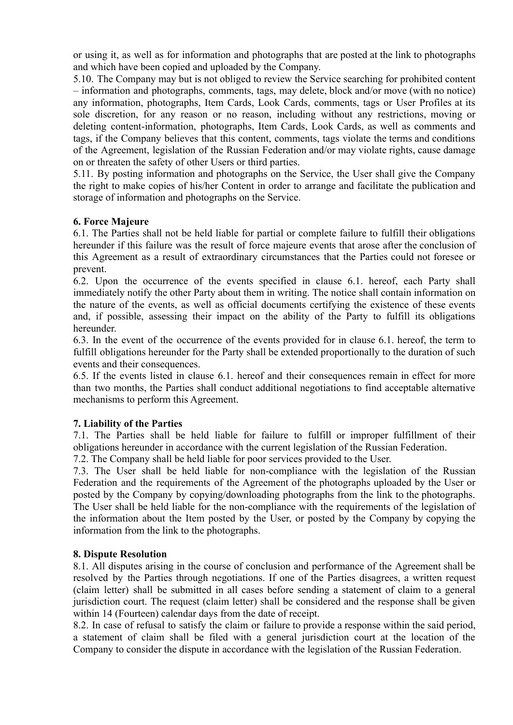or using it, as well as for information and photographs that are posted at the link to photographs and which have been copied and uploaded by the Company.

5.10. The Company may but is not obliged to review the Service searching for prohibited content – information and photographs, comments, tags, may delete, block and/or move (with no notice) any information, photographs, Item Cards, Look Cards, comments, tags or User Profiles at its sole discretion, for any reason or no reason, including without any restrictions, moving or deleting content-information, photographs, Item Cards, Look Cards, as well as comments and tags, if the Company believes that this content, comments, tags violate the terms and conditions of the Agreement, legislation of the Russian Federation and/or may violate rights, cause damage on or threaten the safety of other Users or third parties.

5.11. By posting information and photographs on the Service, the User shall give the Company the right to make copies of his/her Content in order to arrange and facilitate the publication and storage of information and photographs on the Service.

# **6. Force Majeure**

6.1. The Parties shall not be held liable for partial or complete failure to fulfill their obligations hereunder if this failure was the result of force majeure events that arose after the conclusion of this Agreement as a result of extraordinary circumstances that the Parties could not foresee or prevent.

6.2. Upon the occurrence of the events specified in clause 6.1. hereof, each Party shall immediately notify the other Party about them in writing. The notice shall contain information on the nature of the events, as well as official documents certifying the existence of these events and, if possible, assessing their impact on the ability of the Party to fulfill its obligations hereunder.

6.3. In the event of the occurrence of the events provided for in clause 6.1. hereof, the term to fulfill obligations hereunder for the Party shall be extended proportionally to the duration of such events and their consequences.

6.5. If the events listed in clause 6.1. hereof and their consequences remain in effect for more than two months, the Parties shall conduct additional negotiations to find acceptable alternative mechanisms to perform this Agreement.

### **7. Liability of the Parties**

7.1. The Parties shall be held liable for failure to fulfill or improper fulfillment of their obligations hereunder in accordance with the current legislation of the Russian Federation.

7.2. The Company shall be held liable for poor services provided to the User.

7.3. The User shall be held liable for non-compliance with the legislation of the Russian Federation and the requirements of the Agreement of the photographs uploaded by the User or posted by the Company by copying/downloading photographs from the link to the photographs. The User shall be held liable for the non-compliance with the requirements of the legislation of the information about the Item posted by the User, or posted by the Company by copying the information from the link to the photographs.

### **8. Dispute Resolution**

8.1. All disputes arising in the course of conclusion and performance of the Agreement shall be resolved by the Parties through negotiations. If one of the Parties disagrees, a written request (claim letter) shall be submitted in all cases before sending a statement of claim to a general jurisdiction court. The request (claim letter) shall be considered and the response shall be given within 14 (Fourteen) calendar days from the date of receipt.

8.2. In case of refusal to satisfy the claim or failure to provide a response within the said period, a statement of claim shall be filed with a general jurisdiction court at the location of the Company to consider the dispute in accordance with the legislation of the Russian Federation.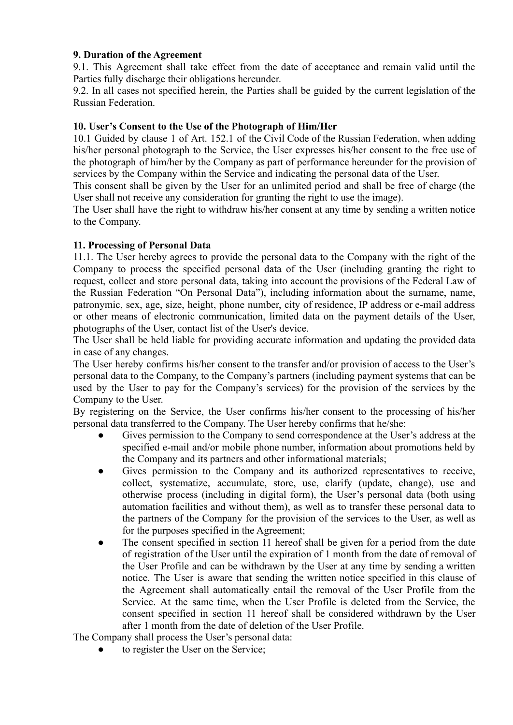## **9. Duration of the Agreement**

9.1. This Agreement shall take effect from the date of acceptance and remain valid until the Parties fully discharge their obligations hereunder.

9.2. In all cases not specified herein, the Parties shall be guided by the current legislation of the Russian Federation.

## **10. User's Consent to the Use of the Photograph of Him/Her**

10.1 Guided by clause 1 of Art. 152.1 of the Civil Code of the Russian Federation, when adding his/her personal photograph to the Service, the User expresses his/her consent to the free use of the photograph of him/her by the Company as part of performance hereunder for the provision of services by the Company within the Service and indicating the personal data of the User.

This consent shall be given by the User for an unlimited period and shall be free of charge (the User shall not receive any consideration for granting the right to use the image).

The User shall have the right to withdraw his/her consent at any time by sending a written notice to the Company.

## **11. Processing of Personal Data**

11.1. The User hereby agrees to provide the personal data to the Company with the right of the Company to process the specified personal data of the User (including granting the right to request, collect and store personal data, taking into account the provisions of the Federal Law of the Russian Federation "On Personal Data"), including information about the surname, name, patronymic, sex, age, size, height, phone number, city of residence, IP address or e-mail address or other means of electronic communication, limited data on the payment details of the User, photographs of the User, contact list of the User's device.

The User shall be held liable for providing accurate information and updating the provided data in case of any changes.

The User hereby confirms his/her consent to the transfer and/or provision of access to the User's personal data to the Company, to the Company's partners (including payment systems that can be used by the User to pay for the Company's services) for the provision of the services by the Company to the User.

By registering on the Service, the User confirms his/her consent to the processing of his/her personal data transferred to the Company. The User hereby confirms that he/she:

- Gives permission to the Company to send correspondence at the User's address at the specified e-mail and/or mobile phone number, information about promotions held by the Company and its partners and other informational materials;
- Gives permission to the Company and its authorized representatives to receive, collect, systematize, accumulate, store, use, clarify (update, change), use and otherwise process (including in digital form), the User's personal data (both using automation facilities and without them), as well as to transfer these personal data to the partners of the Company for the provision of the services to the User, as well as for the purposes specified in the Agreement;
- The consent specified in section 11 hereof shall be given for a period from the date of registration of the User until the expiration of 1 month from the date of removal of the User Profile and can be withdrawn by the User at any time by sending a written notice. The User is aware that sending the written notice specified in this clause of the Agreement shall automatically entail the removal of the User Profile from the Service. At the same time, when the User Profile is deleted from the Service, the consent specified in section 11 hereof shall be considered withdrawn by the User after 1 month from the date of deletion of the User Profile.

The Company shall process the User's personal data:

to register the User on the Service;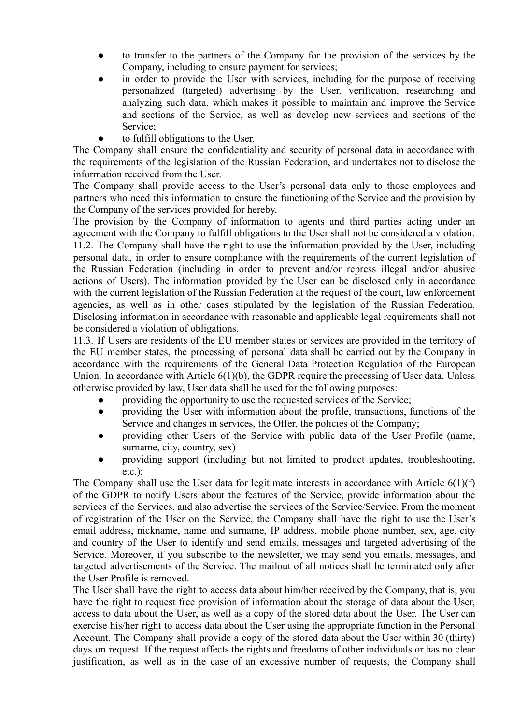- to transfer to the partners of the Company for the provision of the services by the Company, including to ensure payment for services;
- in order to provide the User with services, including for the purpose of receiving personalized (targeted) advertising by the User, verification, researching and analyzing such data, which makes it possible to maintain and improve the Service and sections of the Service, as well as develop new services and sections of the Service;
- to fulfill obligations to the User.

The Company shall ensure the confidentiality and security of personal data in accordance with the requirements of the legislation of the Russian Federation, and undertakes not to disclose the information received from the User.

The Company shall provide access to the User's personal data only to those employees and partners who need this information to ensure the functioning of the Service and the provision by the Company of the services provided for hereby.

The provision by the Company of information to agents and third parties acting under an agreement with the Company to fulfill obligations to the User shall not be considered a violation. 11.2. The Company shall have the right to use the information provided by the User, including personal data, in order to ensure compliance with the requirements of the current legislation of the Russian Federation (including in order to prevent and/or repress illegal and/or abusive actions of Users). The information provided by the User can be disclosed only in accordance with the current legislation of the Russian Federation at the request of the court, law enforcement agencies, as well as in other cases stipulated by the legislation of the Russian Federation. Disclosing information in accordance with reasonable and applicable legal requirements shall not be considered a violation of obligations.

11.3. If Users are residents of the EU member states or services are provided in the territory of the EU member states, the processing of personal data shall be carried out by the Company in accordance with the requirements of the General Data Protection Regulation of the European Union. In accordance with Article 6(1)(b), the GDPR require the processing of User data. Unless otherwise provided by law, User data shall be used for the following purposes:

- providing the opportunity to use the requested services of the Service;
- providing the User with information about the profile, transactions, functions of the Service and changes in services, the Offer, the policies of the Company;
- providing other Users of the Service with public data of the User Profile (name, surname, city, country, sex)
- providing support (including but not limited to product updates, troubleshooting, etc.);

The Company shall use the User data for legitimate interests in accordance with Article 6(1)(f) of the GDPR to notify Users about the features of the Service, provide information about the services of the Services, and also advertise the services of the Service/Service. From the moment of registration of the User on the Service, the Company shall have the right to use the User's email address, nickname, name and surname, IP address, mobile phone number, sex, age, city and country of the User to identify and send emails, messages and targeted advertising of the Service. Moreover, if you subscribe to the newsletter, we may send you emails, messages, and targeted advertisements of the Service. The mailout of all notices shall be terminated only after the User Profile is removed.

The User shall have the right to access data about him/her received by the Company, that is, you have the right to request free provision of information about the storage of data about the User, access to data about the User, as well as a copy of the stored data about the User. The User can exercise his/her right to access data about the User using the appropriate function in the Personal Account. The Company shall provide a copy of the stored data about the User within 30 (thirty) days on request. If the request affects the rights and freedoms of other individuals or has no clear justification, as well as in the case of an excessive number of requests, the Company shall